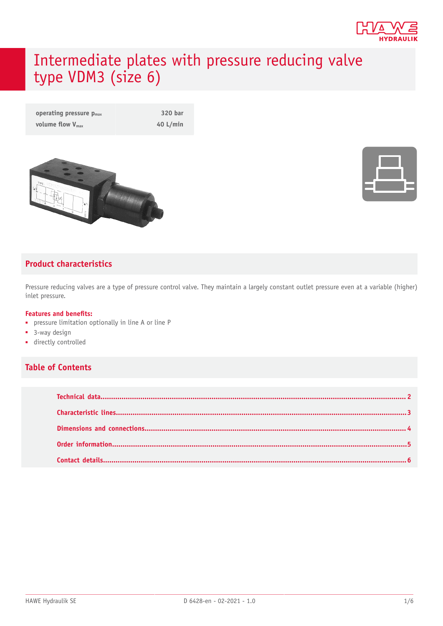

# Intermediate plates with pressure reducing valve type VDM3 (size 6)

**operating pressure**  $p_{max}$  **320 bar volume flow**  $V_{\text{max}}$  **40 L/min** 





#### **Product characteristics**

Pressure reducing valves are a type of pressure control valve. They maintain a largely constant outlet pressure even at a variable (higher) inlet pressure.

#### **Features and benets:**

- pressure limitation optionally in line A or line P
- 3-way design
- directly controlled

#### **Table of Contents**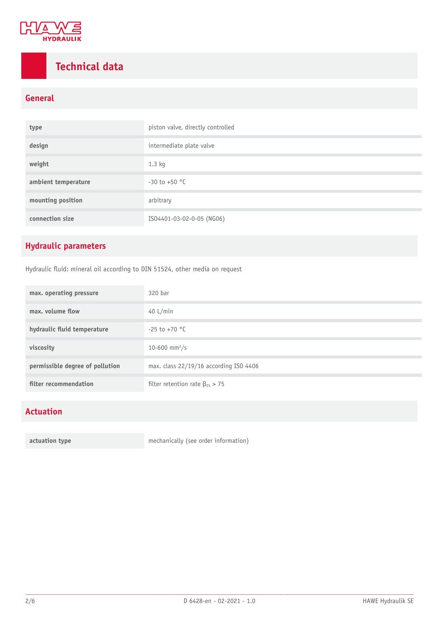

## <span id="page-1-0"></span>**Technical data**

### **General**

| type                | piston valve, directly controlled |
|---------------------|-----------------------------------|
| design              | intermediate plate valve          |
| weight              | $1.3$ kg                          |
| ambient temperature | $-30$ to $+50$ °C                 |
| mounting position   | arbitrary                         |
| connection size     | ISO4401-03-02-0-05 (NG06)         |

### **Hydraulic parameters**

Hydraulic fluid: mineral oil according to DIN 51524, other media on request

| max. operating pressure         | 320 bar                                 |
|---------------------------------|-----------------------------------------|
| max, volume flow                | 40 $L/min$                              |
| hydraulic fluid temperature     | $-25$ to $+70$ °C                       |
| viscosity                       | 10-600 mm <sup>2</sup> /s               |
| permissible degree of pollution | max. class 22/19/16 according ISO 4406  |
| filter recommendation           | filter retention rate $\beta_{25} > 75$ |

### **Actuation**

**actuation type** mechanically (see order information)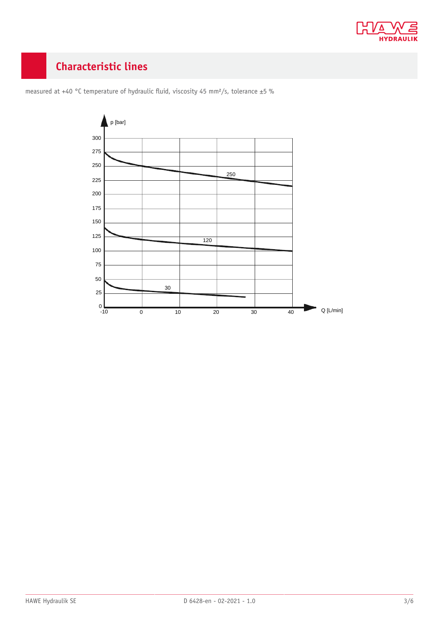

## <span id="page-2-0"></span>**Characteristic lines**



measured at +40 °C temperature of hydraulic fluid, viscosity 45 mm<sup>2</sup>/s, tolerance ±5 %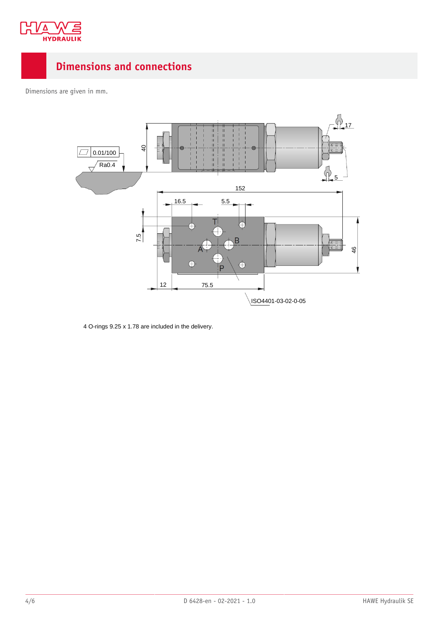

### <span id="page-3-0"></span>**Dimensions and connections**

Dimensions are given in mm.



4 O-rings 9.25 x 1.78 are included in the delivery.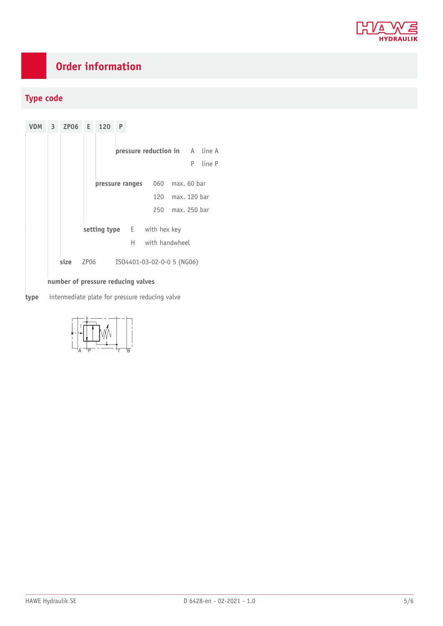

## <span id="page-4-0"></span>**Order information**

### **Type code**

**VDM 3 ZP06 E 120 P pressure reduction in** A line A P line P **pressure ranges** 060 max. 60 bar 120 max. 120 bar 250 max. 250 bar **setting type** E with hex key H with handwheel **size** ZP06 ISO4401-03-02-0-0 5 (NG06) **number of pressure reducing valves**

**type** intermediate plate for pressure reducing valve